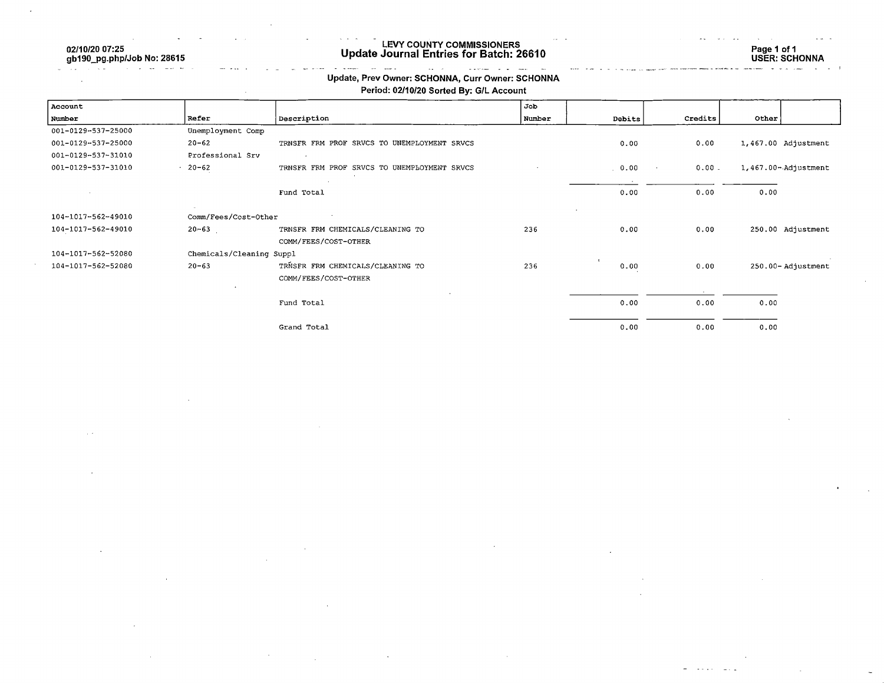02/10/20 07:25 gb190\_pg.php/Job No: 28615

 $\tau = \omega / \omega$  .

#### LEVY COUNTY COMMISSIONERS Update Journal Entries for Batch: 26610

Page 1 of 1 USER: SCHONNA

#### $\sim$  $\sim$  $\omega_{\rm m} = \omega$  $\omega$  is a second Update, Prev Owner; SCHONNA, Curr Owner: SCHONNA

### Period: 02/10/20 Sorted By: G/L Account

| Account            |                          |                                             | Job    |                      |          |                         |  |
|--------------------|--------------------------|---------------------------------------------|--------|----------------------|----------|-------------------------|--|
| Number             | Refer                    | Description                                 | Number | Debits               | Credits  | Other                   |  |
| 001-0129-537-25000 | Unemployment Comp        |                                             |        |                      |          |                         |  |
| 001-0129-537-25000 | $20 - 62$                | TRNSFR FRM PROF SRVCS TO UNEMPLOYMENT SRVCS |        | 0.00                 | 0.00     | 1,467.00 Adjustment     |  |
| 001-0129-537-31010 | Professional Srv         |                                             |        |                      |          |                         |  |
| 001-0129-537-31010 | $-20-62$                 | TRNSFR FRM PROF SRVCS TO UNEMPLOYMENT SRVCS |        | . 0.00               | $0.00 -$ | $1,467.00 -$ Adjustment |  |
|                    |                          |                                             |        |                      |          |                         |  |
|                    |                          | Fund Total                                  |        | 0.00                 | 0.00     | 0.00                    |  |
| 104-1017-562-49010 | Comm/Fees/Cost-Other     |                                             |        |                      |          |                         |  |
| 104-1017-562-49010 | $20 - 63$                | TRNSFR FRM CHEMICALS/CLEANING TO            | 236    | 0.00                 | 0.00     | 250.00 Adjustment       |  |
|                    |                          | COMM/FEES/COST-OTHER                        |        |                      |          |                         |  |
| 104-1017-562-52080 | Chemicals/Cleaning Suppl |                                             |        |                      |          |                         |  |
| 104-1017-562-52080 | $20 - 63$                | TRNSFR FRM CHEMICALS/CLEANING TO            | 236    | $\mathbf{r}$<br>0.00 | 0.00     | 250.00-Adjustment       |  |
|                    |                          | COMM/FEES/COST-OTHER                        |        |                      |          |                         |  |
|                    |                          |                                             |        |                      |          |                         |  |
|                    |                          | Fund Total                                  |        | 0.00                 | 0.00     | 0.00                    |  |
|                    |                          | Grand Total                                 |        | 0.00                 | 0.00     | 0.00                    |  |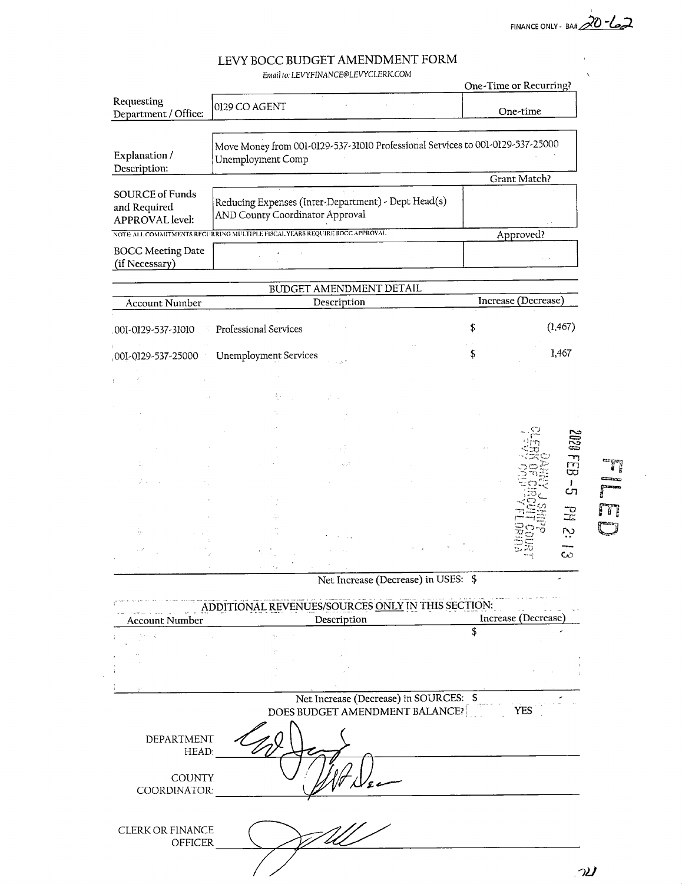FINANCE ONLY - BA# 20-62

# LEVY BOCC BUDGET AMENDMENT FORM

Email to: LEVYFINANCE@LEVYCLERK.COM

|                                                                                                                                      |                                                                                        | One-Time or Recurring? |  |  |
|--------------------------------------------------------------------------------------------------------------------------------------|----------------------------------------------------------------------------------------|------------------------|--|--|
| Requesting<br>Department / Office:                                                                                                   | 0129 CO AGENT                                                                          | One-time               |  |  |
| Move Money from 001-0129-537-31010 Professional Services to 001-0129-537-25000<br>Explanation /<br>Unemployment Comp<br>Description: |                                                                                        |                        |  |  |
|                                                                                                                                      |                                                                                        | Grant Match?           |  |  |
| <b>SOURCE of Funds</b><br>and Required<br><b>APPROVAL</b> level:                                                                     | Reducing Expenses (Inter-Department) - Dept Head(s)<br>AND County Coordinator Approval | $\sim$ $^{-1}$         |  |  |
| NOTE ALL COMMITMENTS RECURRING MULTIPLE FISCAL YEARS REQUIRE BOCC APPROVAL.<br>Approved?                                             |                                                                                        |                        |  |  |
| <b>BOCC Meeting Date</b><br>(if Necessary)                                                                                           |                                                                                        |                        |  |  |

| Account Number     |  | <b>BUDGET AMENDMENT DETAIL</b><br>Description |        |  | Increase (Decrease) |              |  |
|--------------------|--|-----------------------------------------------|--------|--|---------------------|--------------|--|
| 001-0129-537-31010 |  | Professional Services                         |        |  | \$                  | (1, 467)     |  |
|                    |  | 001-0129-537-25000 Unemployment Services      | in a f |  | \$                  | 1,467        |  |
| $\pm$              |  |                                               |        |  |                     |              |  |
|                    |  | 素。                                            |        |  |                     |              |  |
|                    |  |                                               |        |  |                     |              |  |
|                    |  |                                               |        |  |                     |              |  |
|                    |  |                                               |        |  |                     | 1202         |  |
| m,                 |  |                                               | كري    |  |                     | لىد<br>$\Xi$ |  |
|                    |  |                                               |        |  |                     | Ι.<br>57     |  |
|                    |  |                                               |        |  |                     |              |  |
|                    |  | Ŵ                                             |        |  |                     | 궆            |  |
| $\{z_{\alpha}\}$   |  |                                               |        |  |                     | بن           |  |
| أوردد              |  |                                               |        |  |                     | CO.<br>أورده |  |
|                    |  | ÷ø,                                           |        |  |                     |              |  |

Net Increase (Decrease) in USES: \$

|                                           |             | ADDITIONAL REVENUES/SOURCES ONLY IN THIS SECTION: |                     |  |  |
|-------------------------------------------|-------------|---------------------------------------------------|---------------------|--|--|
| <b>Account Number</b>                     | Description |                                                   | Increase (Decrease) |  |  |
|                                           |             |                                                   |                     |  |  |
|                                           |             |                                                   |                     |  |  |
|                                           |             |                                                   |                     |  |  |
| š.                                        |             |                                                   |                     |  |  |
|                                           |             | Net Increase (Decrease) in SOURCES: \$            |                     |  |  |
|                                           |             | DOES BUDGET AMENDMENT BALANCE?                    | <b>YES</b>          |  |  |
| DEPARTMENT<br>HEAD:                       |             |                                                   |                     |  |  |
| <b>COUNTY</b><br>COORDINATOR:             |             |                                                   |                     |  |  |
| <b>CLERK OR FINANCE</b><br><b>OFFICER</b> |             |                                                   |                     |  |  |

 $\mathcal{A}^{\mathcal{A}}$ 

 $\mathcal{U}$ 

T

 $\int_0^\infty$  $\sqrt{1}$ 

 $\overline{\phantom{a}}$